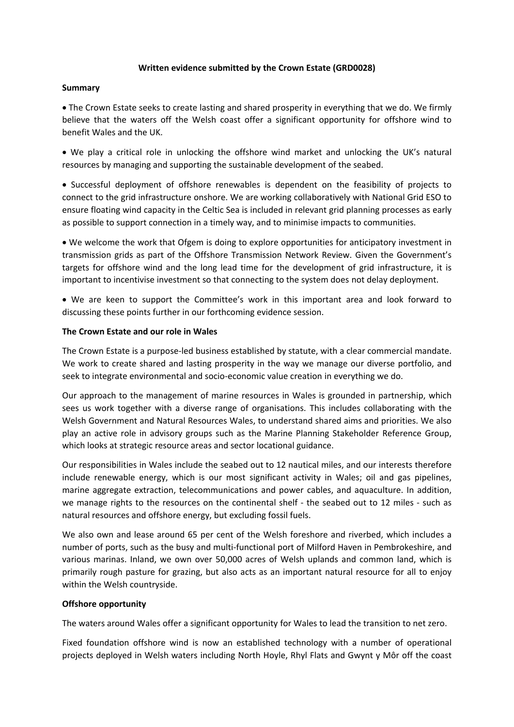## **Written evidence submitted by the Crown Estate (GRD0028)**

#### **Summary**

 The Crown Estate seeks to create lasting and shared prosperity in everything that we do. We firmly believe that the waters off the Welsh coast offer a significant opportunity for offshore wind to benefit Wales and the UK.

 We play a critical role in unlocking the offshore wind market and unlocking the UK's natural resources by managing and supporting the sustainable development of the seabed.

 Successful deployment of offshore renewables is dependent on the feasibility of projects to connect to the grid infrastructure onshore. We are working collaboratively with National Grid ESO to ensure floating wind capacity in the Celtic Sea is included in relevant grid planning processes as early as possible to support connection in a timely way, and to minimise impacts to communities.

 We welcome the work that Ofgem is doing to explore opportunities for anticipatory investment in transmission grids as part of the Offshore Transmission Network Review. Given the Government's targets for offshore wind and the long lead time for the development of grid infrastructure, it is important to incentivise investment so that connecting to the system does not delay deployment.

 We are keen to support the Committee's work in this important area and look forward to discussing these points further in our forthcoming evidence session.

#### **The Crown Estate and our role in Wales**

The Crown Estate is a purpose-led business established by statute, with a clear commercial mandate. We work to create shared and lasting prosperity in the way we manage our diverse portfolio, and seek to integrate environmental and socio-economic value creation in everything we do.

Our approach to the management of marine resources in Wales is grounded in partnership, which sees us work together with a diverse range of organisations. This includes collaborating with the Welsh Government and Natural Resources Wales, to understand shared aims and priorities. We also play an active role in advisory groups such as the Marine Planning Stakeholder Reference Group, which looks at strategic resource areas and sector locational guidance.

Our responsibilities in Wales include the seabed out to 12 nautical miles, and our interests therefore include renewable energy, which is our most significant activity in Wales; oil and gas pipelines, marine aggregate extraction, telecommunications and power cables, and aquaculture. In addition, we manage rights to the resources on the continental shelf - the seabed out to 12 miles - such as natural resources and offshore energy, but excluding fossil fuels.

We also own and lease around 65 per cent of the Welsh foreshore and riverbed, which includes a number of ports, such as the busy and multi-functional port of Milford Haven in Pembrokeshire, and various marinas. Inland, we own over 50,000 acres of Welsh uplands and common land, which is primarily rough pasture for grazing, but also acts as an important natural resource for all to enjoy within the Welsh countryside.

## **Offshore opportunity**

The waters around Wales offer a significant opportunity for Wales to lead the transition to net zero.

Fixed foundation offshore wind is now an established technology with a number of operational projects deployed in Welsh waters including North Hoyle, Rhyl Flats and Gwynt y Môr off the coast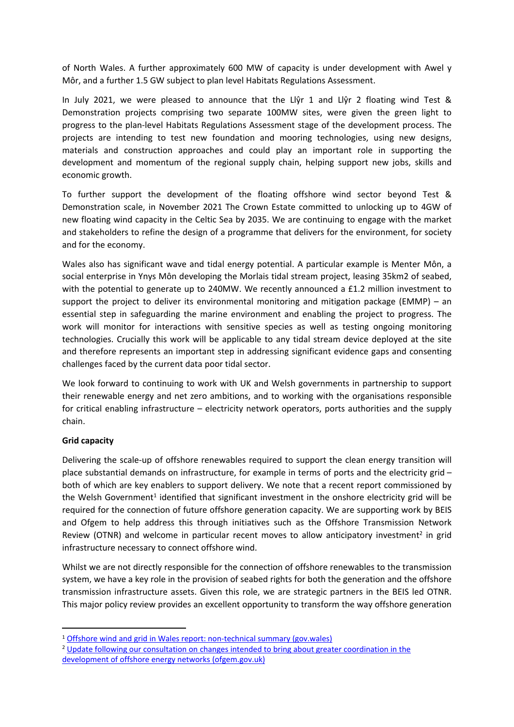of North Wales. A further approximately 600 MW of capacity is under development with Awel y Môr, and a further 1.5 GW subject to plan level Habitats Regulations Assessment.

In July 2021, we were pleased to announce that the Llŷr 1 and Llŷr 2 floating wind Test & Demonstration projects comprising two separate 100MW sites, were given the green light to progress to the plan-level Habitats Regulations Assessment stage of the development process. The projects are intending to test new foundation and mooring technologies, using new designs, materials and construction approaches and could play an important role in supporting the development and momentum of the regional supply chain, helping support new jobs, skills and economic growth.

To further support the development of the floating offshore wind sector beyond Test & Demonstration scale, in November 2021 The Crown Estate committed to unlocking up to 4GW of new floating wind capacity in the Celtic Sea by 2035. We are continuing to engage with the market and stakeholders to refine the design of a programme that delivers for the environment, for society and for the economy.

Wales also has significant wave and tidal energy potential. A particular example is Menter Môn, a social enterprise in Ynys Môn developing the Morlais tidal stream project, leasing 35km2 of seabed, with the potential to generate up to 240MW. We recently announced a £1.2 million investment to support the project to deliver its environmental monitoring and mitigation package (EMMP) – an essential step in safeguarding the marine environment and enabling the project to progress. The work will monitor for interactions with sensitive species as well as testing ongoing monitoring technologies. Crucially this work will be applicable to any tidal stream device deployed at the site and therefore represents an important step in addressing significant evidence gaps and consenting challenges faced by the current data poor tidal sector.

We look forward to continuing to work with UK and Welsh governments in partnership to support their renewable energy and net zero ambitions, and to working with the organisations responsible for critical enabling infrastructure – electricity network operators, ports authorities and the supply chain.

# **Grid capacity**

Delivering the scale-up of offshore renewables required to support the clean energy transition will place substantial demands on infrastructure, for example in terms of ports and the electricity grid – both of which are key enablers to support delivery. We note that a recent report commissioned by the Welsh Government<sup>1</sup> identified that significant investment in the onshore electricity grid will be required for the connection of future offshore generation capacity. We are supporting work by BEIS and Ofgem to help address this through initiatives such as the Offshore Transmission Network Review (OTNR) and welcome in particular recent moves to allow anticipatory investment<sup>2</sup> in grid infrastructure necessary to connect offshore wind.

Whilst we are not directly responsible for the connection of offshore renewables to the transmission system, we have a key role in the provision of seabed rights for both the generation and the offshore transmission infrastructure assets. Given this role, we are strategic partners in the BEIS led OTNR. This major policy review provides an excellent opportunity to transform the way offshore generation

<sup>&</sup>lt;sup>1</sup> [Offshore](https://gov.wales/sites/default/files/publications/2021-09/grid-report-non-technical-summary.pdf) [wind](https://gov.wales/sites/default/files/publications/2021-09/grid-report-non-technical-summary.pdf) [and](https://gov.wales/sites/default/files/publications/2021-09/grid-report-non-technical-summary.pdf) [grid](https://gov.wales/sites/default/files/publications/2021-09/grid-report-non-technical-summary.pdf) [in](https://gov.wales/sites/default/files/publications/2021-09/grid-report-non-technical-summary.pdf) [Wales](https://gov.wales/sites/default/files/publications/2021-09/grid-report-non-technical-summary.pdf) [report:](https://gov.wales/sites/default/files/publications/2021-09/grid-report-non-technical-summary.pdf) [non-technical](https://gov.wales/sites/default/files/publications/2021-09/grid-report-non-technical-summary.pdf) [summary](https://gov.wales/sites/default/files/publications/2021-09/grid-report-non-technical-summary.pdf) [\(gov.wales\)](https://gov.wales/sites/default/files/publications/2021-09/grid-report-non-technical-summary.pdf)

<sup>&</sup>lt;sup>2</sup> [Update](https://www.ofgem.gov.uk/sites/default/files/2022-01/Offshore%20Coordination%20Summary%20of%20Responses%20and%20Next%20Steps.pdf) [following](https://www.ofgem.gov.uk/sites/default/files/2022-01/Offshore%20Coordination%20Summary%20of%20Responses%20and%20Next%20Steps.pdf) [our](https://www.ofgem.gov.uk/sites/default/files/2022-01/Offshore%20Coordination%20Summary%20of%20Responses%20and%20Next%20Steps.pdf) [consultation](https://www.ofgem.gov.uk/sites/default/files/2022-01/Offshore%20Coordination%20Summary%20of%20Responses%20and%20Next%20Steps.pdf) [on](https://www.ofgem.gov.uk/sites/default/files/2022-01/Offshore%20Coordination%20Summary%20of%20Responses%20and%20Next%20Steps.pdf) [changes](https://www.ofgem.gov.uk/sites/default/files/2022-01/Offshore%20Coordination%20Summary%20of%20Responses%20and%20Next%20Steps.pdf) [intended](https://www.ofgem.gov.uk/sites/default/files/2022-01/Offshore%20Coordination%20Summary%20of%20Responses%20and%20Next%20Steps.pdf) [to](https://www.ofgem.gov.uk/sites/default/files/2022-01/Offshore%20Coordination%20Summary%20of%20Responses%20and%20Next%20Steps.pdf) [bring](https://www.ofgem.gov.uk/sites/default/files/2022-01/Offshore%20Coordination%20Summary%20of%20Responses%20and%20Next%20Steps.pdf) [about](https://www.ofgem.gov.uk/sites/default/files/2022-01/Offshore%20Coordination%20Summary%20of%20Responses%20and%20Next%20Steps.pdf) [greater](https://www.ofgem.gov.uk/sites/default/files/2022-01/Offshore%20Coordination%20Summary%20of%20Responses%20and%20Next%20Steps.pdf) [coordination](https://www.ofgem.gov.uk/sites/default/files/2022-01/Offshore%20Coordination%20Summary%20of%20Responses%20and%20Next%20Steps.pdf) [in](https://www.ofgem.gov.uk/sites/default/files/2022-01/Offshore%20Coordination%20Summary%20of%20Responses%20and%20Next%20Steps.pdf) [the](https://www.ofgem.gov.uk/sites/default/files/2022-01/Offshore%20Coordination%20Summary%20of%20Responses%20and%20Next%20Steps.pdf) [development](https://www.ofgem.gov.uk/sites/default/files/2022-01/Offshore%20Coordination%20Summary%20of%20Responses%20and%20Next%20Steps.pdf) [of](https://www.ofgem.gov.uk/sites/default/files/2022-01/Offshore%20Coordination%20Summary%20of%20Responses%20and%20Next%20Steps.pdf) [offshore](https://www.ofgem.gov.uk/sites/default/files/2022-01/Offshore%20Coordination%20Summary%20of%20Responses%20and%20Next%20Steps.pdf) [energy](https://www.ofgem.gov.uk/sites/default/files/2022-01/Offshore%20Coordination%20Summary%20of%20Responses%20and%20Next%20Steps.pdf) [networks](https://www.ofgem.gov.uk/sites/default/files/2022-01/Offshore%20Coordination%20Summary%20of%20Responses%20and%20Next%20Steps.pdf) [\(ofgem.gov.uk\)](https://www.ofgem.gov.uk/sites/default/files/2022-01/Offshore%20Coordination%20Summary%20of%20Responses%20and%20Next%20Steps.pdf)